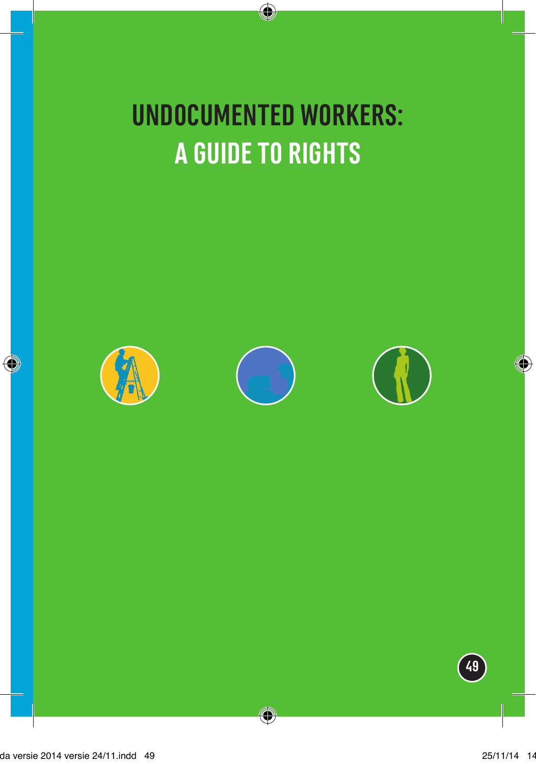## **UNDOCUMENTED WORKERS: A GUIDE TO RIGHTS**







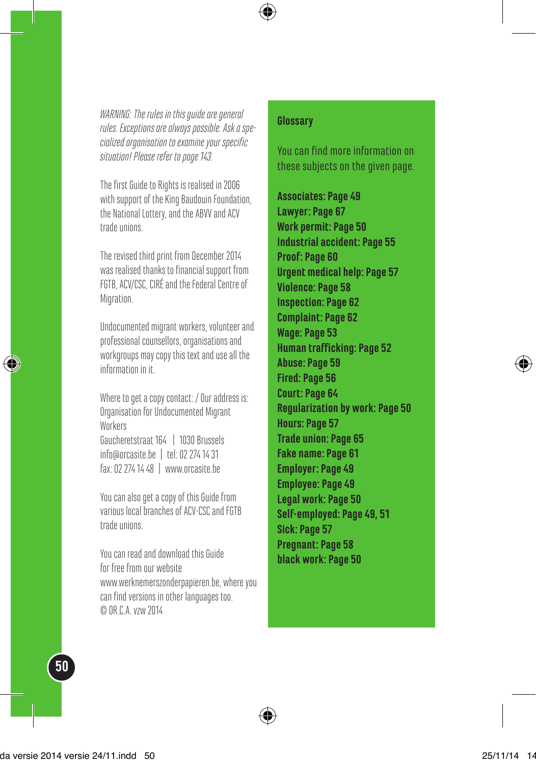*WARNING: The rules in this guide are general rules. Exceptions are always possible. Ask a specialized organisation to examine your specific situation! Please refer to page 143.*

The first Guide to Rights is realised in 2006 with support of the King Baudouin Foundation, the National Lottery, and the ABVV and ACV trade unions.

The revised third print from December 2014 was realised thanks to financial support from FGTB, ACV/CSC, CIRÉ and the Federal Centre of Migration.

Undocumented migrant workers, volunteer and professional counsellors, organisations and workgroups may copy this text and use all the information in it.

Where to get a copy contact: / Our address is: Organisation for Undocumented Migrant Workers Gaucheretstraat 164 | 1030 Brussels info@orcasite.be | tel: 02 274 14 31 fax: 02 274 14 48 | www.orcasite.be

You can also get a copy of this Guide from various local branches of ACV-CSC and FGTB trade unions.

You can read and download this Guide for free from our website www.werknemerszonderpapieren.be, where you can find versions in other languages too. © OR.C.A. vzw 2014

#### **Glossary**

You can find more information on these subjects on the given page.

**Associates: Page 49 Lawyer: Page 67 Work permit: Page 50 Industrial accident: Page 55 Proof: Page 60 Urgent medical help: Page 57 Violence: Page 58 Inspection: Page 62 Complaint: Page 62 Wage: Page 53 Human trafficking: Page 52 Abuse: Page 59 Fired: Page 56 Court: Page 64 Regularization by work: Page 50 Hours: Page 57 Trade union: Page 65 Fake name: Page 61 Employer: Page 49 Employee: Page 49 Legal work: Page 50 Self-employed: Page 49, 51 Sick: Page 57 Pregnant: Page 58 black work: Page 50**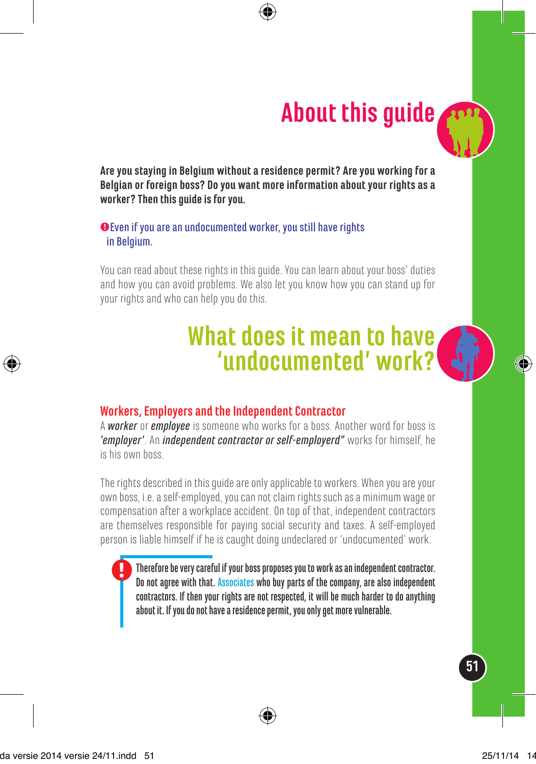## **About this guide**

**Are you staying in Belgium without a residence permit? Are you working for a Belgian or foreign boss? Do you want more information about your rights as a worker? Then this guide is for you.** 

#### @Even if you are an undocumented worker, you still have rights in Belgium.

You can read about these rights in this guide. You can learn about your boss' duties and how you can avoid problems. We also let you know how you can stand up for your rights and who can help you do this.

## **What does it mean to have 'undocumented' work?**



A *worker* or *employee* is someone who works for a boss. Another word for boss is *'employer'*. An *independent contractor or self-employerd"* works for himself, he is his own boss.

The rights described in this guide are only applicable to workers. When you are your own boss, i.e. a self-employed, you can not claim rights such as a minimum wage or compensation after a workplace accident. On top of that, independent contractors are themselves responsible for paying social security and taxes. A self-employed person is liable himself if he is caught doing undeclared or 'undocumented' work.

Therefore be very careful if your boss proposes you to work as an independent contractor. Do not agree with that. Associates who buy parts of the company, are also independent contractors. If then your rights are not respected, it will be much harder to do anything about it. If you do not have a residence permit, you only get more vulnerable.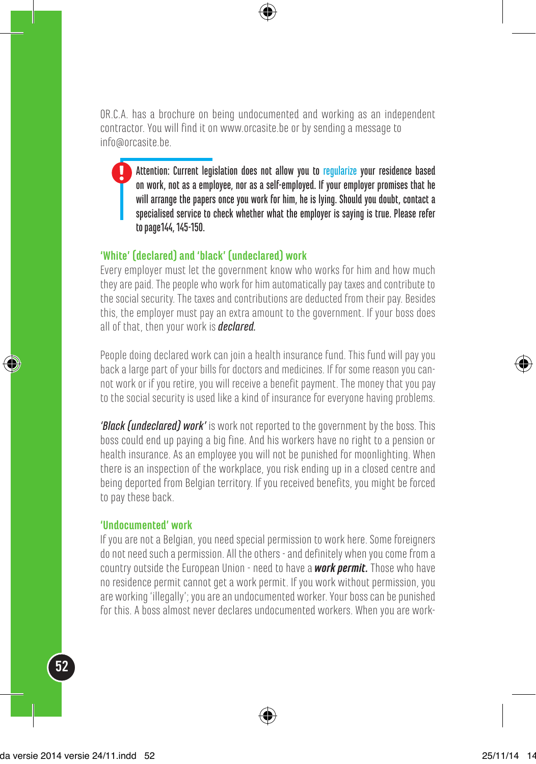OR.C.A. has a brochure on being undocumented and working as an independent contractor. You will find it on www.orcasite.be or by sending a message to info@orcasite.be.

Attention: Current legislation does not allow you to regularize your residence based on work, not as a employee, nor as a self-employed. If your employer promises that he will arrange the papers once you work for him, he is lying. Should you doubt, contact a specialised service to check whether what the employer is saying is true. Please refer to page144, 145-150.

#### **'White' (declared) and 'black' (undeclared) work**

Every employer must let the government know who works for him and how much they are paid. The people who work for him automatically pay taxes and contribute to the social security. The taxes and contributions are deducted from their pay. Besides this, the employer must pay an extra amount to the government. If your boss does all of that, then your work is *declared.*

People doing declared work can join a health insurance fund. This fund will pay you back a large part of your bills for doctors and medicines. If for some reason you cannot work or if you retire, you will receive a benefit payment. The money that you pay to the social security is used like a kind of insurance for everyone having problems.

*'Black (undeclared) work'* is work not reported to the government by the boss. This boss could end up paying a big fine. And his workers have no right to a pension or health insurance. As an employee you will not be punished for moonlighting. When there is an inspection of the workplace, you risk ending up in a closed centre and being deported from Belgian territory. If you received benefits, you might be forced to pay these back.

#### **'Undocumented' work**

If you are not a Belgian, you need special permission to work here. Some foreigners do not need such a permission. All the others - and definitely when you come from a country outside the European Union - need to have a *work permit.* Those who have no residence permit cannot get a work permit. If you work without permission, you are working 'illegally'; you are an undocumented worker. Your boss can be punished for this. A boss almost never declares undocumented workers. When you are work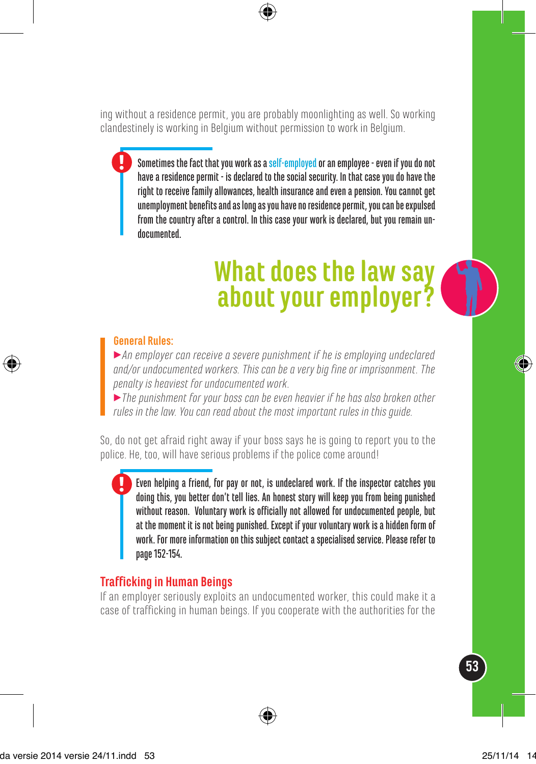ing without a residence permit, you are probably moonlighting as well. So working clandestinely is working in Belgium without permission to work in Belgium.

Sometimes the fact that you work as a self-employed or an employee - even if you do not have a residence permit - is declared to the social security. In that case you do have the right to receive family allowances, health insurance and even a pension. You cannot get unemployment benefits and as long as you have no residence permit, you can be expulsed from the country after a control. In this case your work is declared, but you remain undocumented.

## **What does the law say about your employer?**

#### **General Rules:**

3*An employer can receive a severe punishment if he is employing undeclared and/or undocumented workers. This can be a very big fine or imprisonment. The penalty is heaviest for undocumented work.* 

3*The punishment for your boss can be even heavier if he has also broken other rules in the law. You can read about the most important rules in this guide.* 

So, do not get afraid right away if your boss says he is going to report you to the police. He, too, will have serious problems if the police come around!

Even helping a friend, for pay or not, is undeclared work. If the inspector catches you doing this, you better don't tell lies. An honest story will keep you from being punished without reason. Voluntary work is officially not allowed for undocumented people, but at the moment it is not being punished. Except if your voluntary work is a hidden form of work. For more information on this subject contact a specialised service. Please refer to page 152-154.

#### **Trafficking in Human Beings**

If an employer seriously exploits an undocumented worker, this could make it a case of trafficking in human beings. If you cooperate with the authorities for the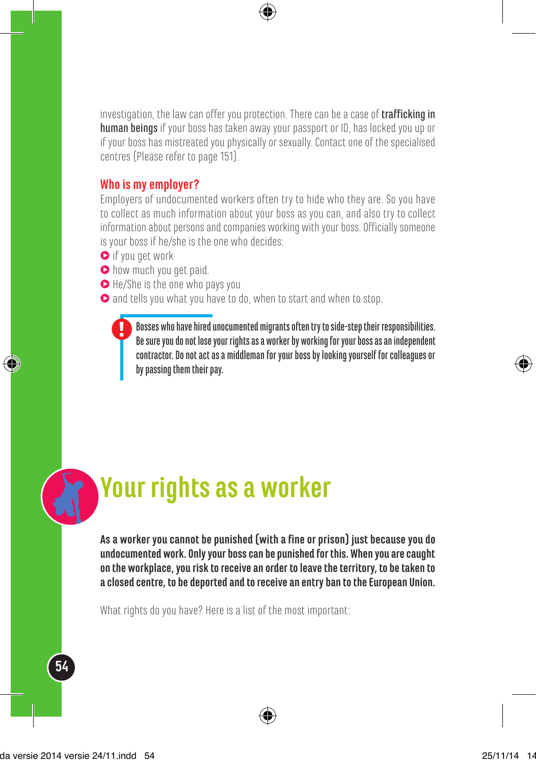investigation, the law can offer you protection. There can be a case of **trafficking in** human beings if your boss has taken away your passport or ID, has locked you up or if your boss has mistreated you physically or sexually. Contact one of the specialised centres (Please refer to page 151).

#### **Who is my employer?**

Employers of undocumented workers often try to hide who they are. So you have to collect as much information about your boss as you can, and also try to collect information about persons and companies working with your boss. Officially someone is your boss if he/she is the one who decides:

- $\bullet$  if you get work
- $\bullet$  how much you get paid.
- $\bullet$  He/She is the one who pays you
- $\bullet$  and tells you what you have to do, when to start and when to stop.

Bosses who have hired unocumented migrants often try to side-step their responsibilities. Be sure you do not lose your rights as a worker by working for your boss as an independent contractor. Do not act as a middleman for your boss by looking yourself for colleagues or by passing them their pay.

## **Your rights as a worker**

**As a worker you cannot be punished (with a fine or prison) just because you do undocumented work. Only your boss can be punished for this. When you are caught on the workplace, you risk to receive an order to leave the territory, to be taken to a closed centre, to be deported and to receive an entry ban to the European Union.**

What rights do you have? Here is a list of the most important: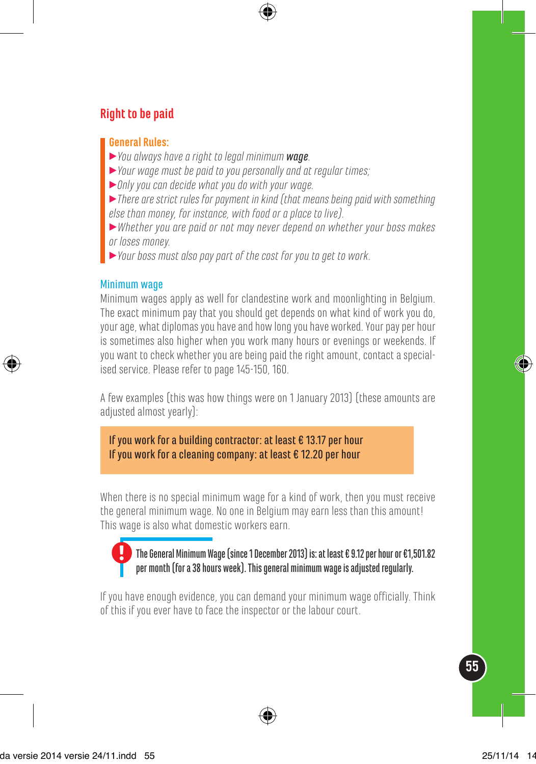### **Right to be paid**

#### **General Rules:**

- 3*You always have a right to legal minimum wage.*
- 3*Your wage must be paid to you personally and at regular times;*
- 3*Only you can decide what you do with your wage.*
- 3*There are strict rules for payment in kind (that means being paid with something else than money, for instance, with food or a place to live).*
- 3*Whether you are paid or not may never depend on whether your boss makes or loses money.*
- 3*Your boss must also pay part of the cost for you to get to work.*

#### Minimum wage

Minimum wages apply as well for clandestine work and moonlighting in Belgium. The exact minimum pay that you should get depends on what kind of work you do, your age, what diplomas you have and how long you have worked. Your pay per hour is sometimes also higher when you work many hours or evenings or weekends. If you want to check whether you are being paid the right amount, contact a specialised service. Please refer to page 145-150, 160.

A few examples (this was how things were on 1 January 2013) (these amounts are adjusted almost yearly):

If you work for a building contractor: at least € 13.17 per hour If you work for a cleaning company: at least € 12.20 per hour

When there is no special minimum wage for a kind of work, then you must receive the general minimum wage. No one in Belgium may earn less than this amount! This wage is also what domestic workers earn.

#### The General Minimum Wage (since 1 December 2013) is: at least € 9.12 per hour or €1,501.82 per month (for a 38 hours week). This general minimum wage is adjusted regularly.

If you have enough evidence, you can demand your minimum wage officially. Think of this if you ever have to face the inspector or the labour court.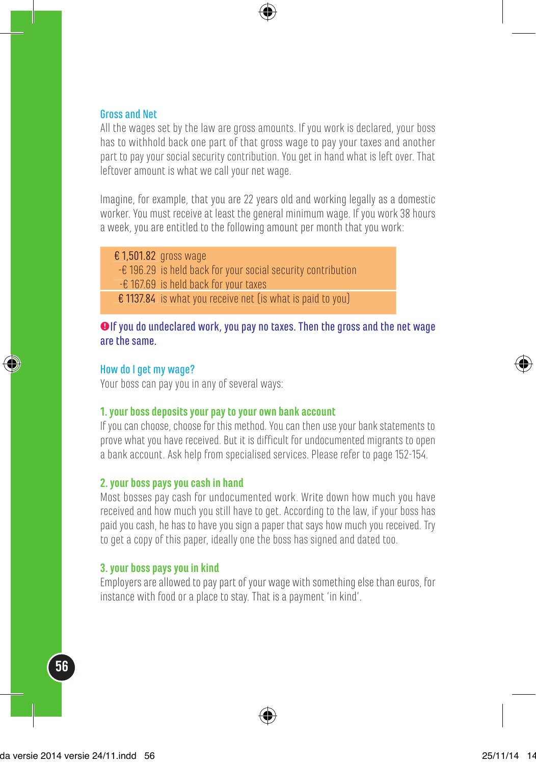#### Gross and Net

All the wages set by the law are gross amounts. If you work is declared, your boss has to withhold back one part of that gross wage to pay your taxes and another part to pay your social security contribution. You get in hand what is left over. That leftover amount is what we call your net wage.

Imagine, for example, that you are 22 years old and working legally as a domestic worker. You must receive at least the general minimum wage. If you work 38 hours a week, you are entitled to the following amount per month that you work:

€ 1,501.82 gross wage

- -€ 196.29 is held back for your social security contribution
- -€ 167.69 is held back for your taxes
- € 1137.84 is what you receive net (is what is paid to you)

#### @If you do undeclared work, you pay no taxes. Then the gross and the net wage are the same.

#### How do I get my wage?

Your boss can pay you in any of several ways:

#### **1. your boss deposits your pay to your own bank account**

If you can choose, choose for this method. You can then use your bank statements to prove what you have received. But it is difficult for undocumented migrants to open a bank account. Ask help from specialised services. Please refer to page 152-154.

#### **2. your boss pays you cash in hand**

Most bosses pay cash for undocumented work. Write down how much you have received and how much you still have to get. According to the law, if your boss has paid you cash, he has to have you sign a paper that says how much you received. Try to get a copy of this paper, ideally one the boss has signed and dated too.

#### **3. your boss pays you in kind**

Employers are allowed to pay part of your wage with something else than euros, for instance with food or a place to stay. That is a payment 'in kind'.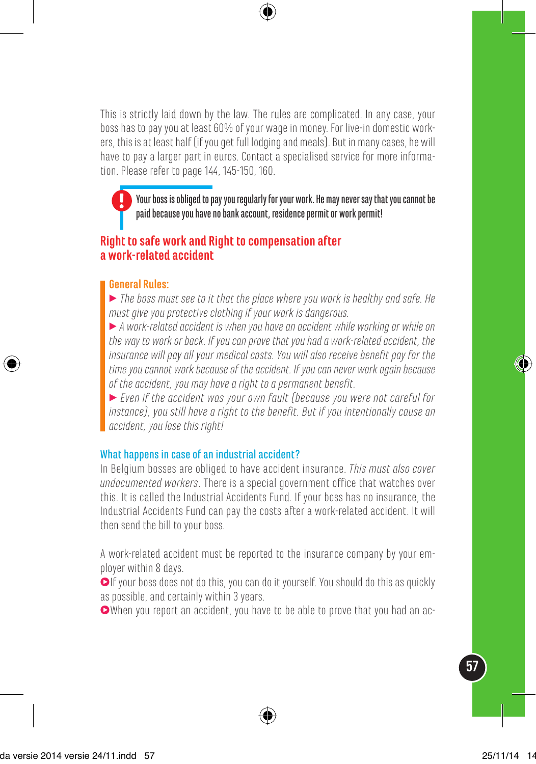This is strictly laid down by the law. The rules are complicated. In any case, your boss has to pay you at least 60% of your wage in money. For live-in domestic workers, this is at least half (if you get full lodging and meals). But in many cases, he will have to pay a larger part in euros. Contact a specialised service for more information. Please refer to page 144, 145-150, 160.

Your boss is obliged to pay you regularly for your work. He may never say that you cannot be paid because you have no bank account, residence permit or work permit!

#### **Right to safe work and Right to compensation after a work-related accident**

#### **General Rules:**

3 *The boss must see to it that the place where you work is healthy and safe. He must give you protective clothing if your work is dangerous.*

3 *A work-related accident is when you have an accident while working or while on the way to work or back. If you can prove that you had a work-related accident, the insurance will pay all your medical costs. You will also receive benefit pay for the time you cannot work because of the accident. If you can never work again because of the accident, you may have a right to a permanent benefit.* 

3 *Even if the accident was your own fault (because you were not careful for instance), you still have a right to the benefit. But if you intentionally cause an accident, you lose this right!*

#### What happens in case of an industrial accident?

In Belgium bosses are obliged to have accident insurance. *This must also cover undocumented workers*. There is a special government office that watches over this. It is called the Industrial Accidents Fund. If your boss has no insurance, the Industrial Accidents Fund can pay the costs after a work-related accident. It will then send the bill to your boss.

A work-related accident must be reported to the insurance company by your employer within 8 days.

 $\bigcirc$  If your boss does not do this, you can do it yourself. You should do this as quickly as possible, and certainly within 3 years.

3When you report an accident, you have to be able to prove that you had an ac-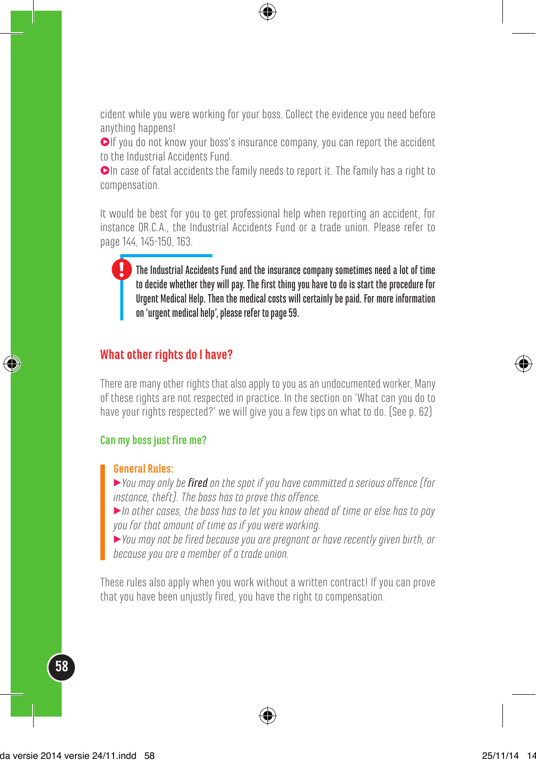cident while you were working for your boss. Collect the evidence you need before anything happens!

 $\bigcirc$  If you do not know your boss's insurance company, you can report the accident to the Industrial Accidents Fund.

 $\bullet$ In case of fatal accidents the family needs to report it. The family has a right to compensation.

It would be best for you to get professional help when reporting an accident, for instance OR.C.A., the Industrial Accidents Fund or a trade union. Please refer to page 144, 145-150, 163.

The Industrial Accidents Fund and the insurance company sometimes need a lot of time to decide whether they will pay. The first thing you have to do is start the procedure for Urgent Medical Help. Then the medical costs will certainly be paid. For more information on 'urgent medical help', please refer to page 59.

#### **What other rights do I have?**

There are many other rights that also apply to you as an undocumented worker. Many of these rights are not respected in practice. In the section on 'What can you do to have your rights respected?' we will give you a few tips on what to do. (See p. 62)

#### **Can my boss just fire me?**

#### **General Rules:**

3*You may only be fired on the spot if you have committed a serious offence (for instance, theft). The boss has to prove this offence.*

3*In other cases, the boss has to let you know ahead of time or else has to pay you for that amount of time as if you were working.*

3*You may not be fired because you are pregnant or have recently given birth, or because you are a member of a trade union.*

These rules also apply when you work without a written contract! If you can prove that you have been unjustly fired, you have the right to compensation.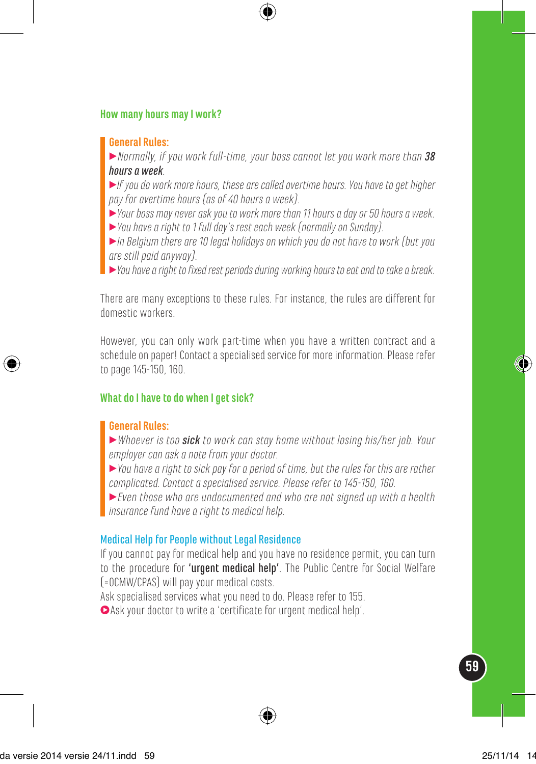#### **How many hours may I work?**

#### **General Rules:**

3*Normally, if you work full-time, your boss cannot let you work more than 38 hours a week.*

3*If you do work more hours, these are called overtime hours. You have to get higher pay for overtime hours (as of 40 hours a week).* 

3*Your boss may never ask you to work more than 11 hours a day or 50 hours a week.*

3*You have a right to 1 full day's rest each week (normally on Sunday).*

3*In Belgium there are 10 legal holidays on which you do not have to work (but you are still paid anyway).*

3*You have a right to fixed rest periods during working hours to eat and to take a break.*

There are many exceptions to these rules. For instance, the rules are different for domestic workers.

However, you can only work part-time when you have a written contract and a schedule on paper! Contact a specialised service for more information. Please refer to page 145-150, 160.

#### **What do I have to do when I get sick?**

#### **General Rules:**

3*Whoever is too sick to work can stay home without losing his/her job. Your employer can ask a note from your doctor.*

3*You have a right to sick pay for a period of time, but the rules for this are rather complicated. Contact a specialised service. Please refer to 145-150, 160.*

3*Even those who are undocumented and who are not signed up with a health insurance fund have a right to medical help.*

#### Medical Help for People without Legal Residence

If you cannot pay for medical help and you have no residence permit, you can turn to the procedure for 'urgent medical help'. The Public Centre for Social Welfare (=OCMW/CPAS) will pay your medical costs.

Ask specialised services what you need to do. Please refer to 155.

 $\bullet$  Ask your doctor to write a 'certificate for urgent medical help'.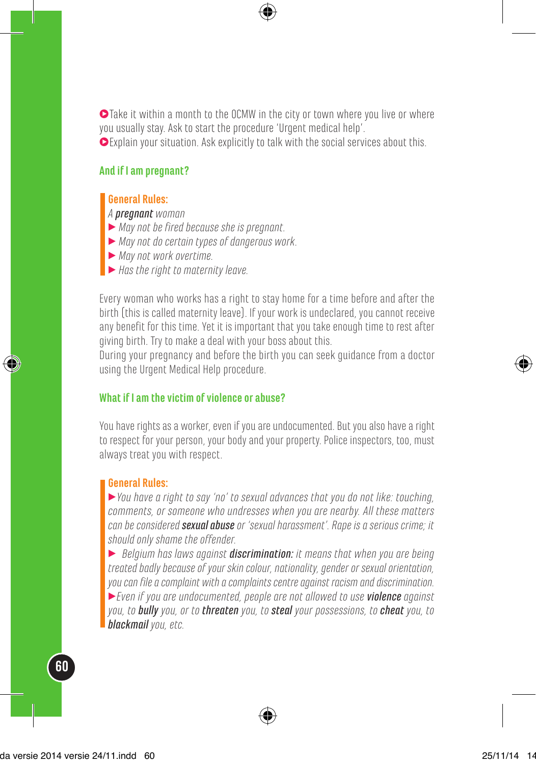$\bullet$  Take it within a month to the OCMW in the city or town where you live or where you usually stay. Ask to start the procedure 'Urgent medical help'. 3Explain your situation. Ask explicitly to talk with the social services about this.

#### **And if I am pregnant?**

#### **General Rules:**

*A pregnant woman*

- 3 *May not be fired because she is pregnant.*
- 3 *May not do certain types of dangerous work.*
- 3 *May not work overtime.*
- 3 *Has the right to maternity leave.*

Every woman who works has a right to stay home for a time before and after the birth (this is called maternity leave). If your work is undeclared, you cannot receive any benefit for this time. Yet it is important that you take enough time to rest after giving birth. Try to make a deal with your boss about this.

During your pregnancy and before the birth you can seek guidance from a doctor using the Urgent Medical Help procedure.

#### **What if I am the victim of violence or abuse?**

You have rights as a worker, even if you are undocumented. But you also have a right to respect for your person, your body and your property. Police inspectors, too, must always treat you with respect.

#### **General Rules:**

3*You have a right to say 'no' to sexual advances that you do not like: touching, comments, or someone who undresses when you are nearby. All these matters can be considered sexual abuse or 'sexual harassment'. Rape is a serious crime; it should only shame the offender.* 

3 *Belgium has laws against discrimination: it means that when you are being treated badly because of your skin colour, nationality, gender or sexual orientation, you can file a complaint with a complaints centre against racism and discrimination.* 3*Even if you are undocumented, people are not allowed to use violence against you, to bully you, or to threaten you, to steal your possessions, to cheat you, to blackmail you, etc.*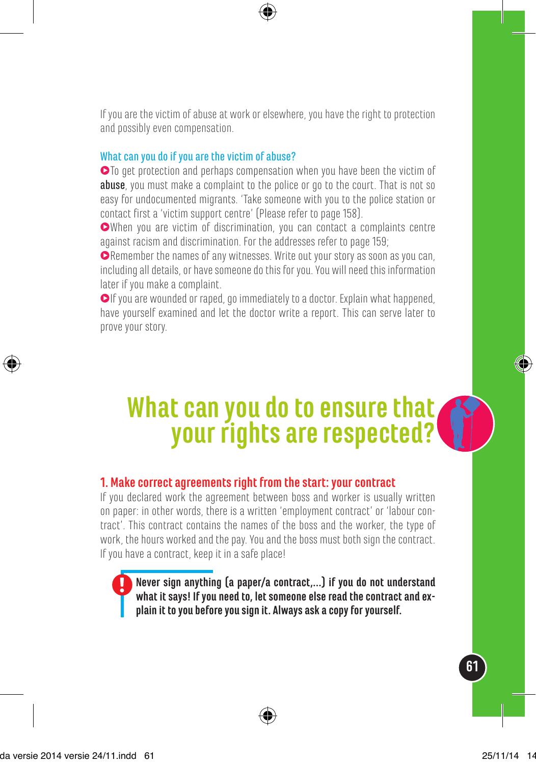If you are the victim of abuse at work or elsewhere, you have the right to protection and possibly even compensation.

#### What can you do if you are the victim of abuse?

 $\bullet$  To get protection and perhaps compensation when you have been the victim of abuse, you must make a complaint to the police or go to the court. That is not so easy for undocumented migrants. 'Take someone with you to the police station or contact first a 'victim support centre' (Please refer to page 158).

3When you are victim of discrimination, you can contact a complaints centre against racism and discrimination. For the addresses refer to page 159;

● Remember the names of any witnesses. Write out your story as soon as you can, including all details, or have someone do this for you. You will need this information later if you make a complaint.

 $\bigcirc$  If you are wounded or raped, go immediately to a doctor. Explain what happened, have yourself examined and let the doctor write a report. This can serve later to prove your story.

# **What can you do to ensure that your rights are respected?**

#### **1. Make correct agreements right from the start: your contract**

If you declared work the agreement between boss and worker is usually written on paper: in other words, there is a written 'employment contract' or 'labour contract'. This contract contains the names of the boss and the worker, the type of work, the hours worked and the pay. You and the boss must both sign the contract. If you have a contract, keep it in a safe place!

**Never sign anything (a paper/a contract,…) if you do not understand what it says! If you need to, let someone else read the contract and explain it to you before you sign it. Always ask a copy for yourself.**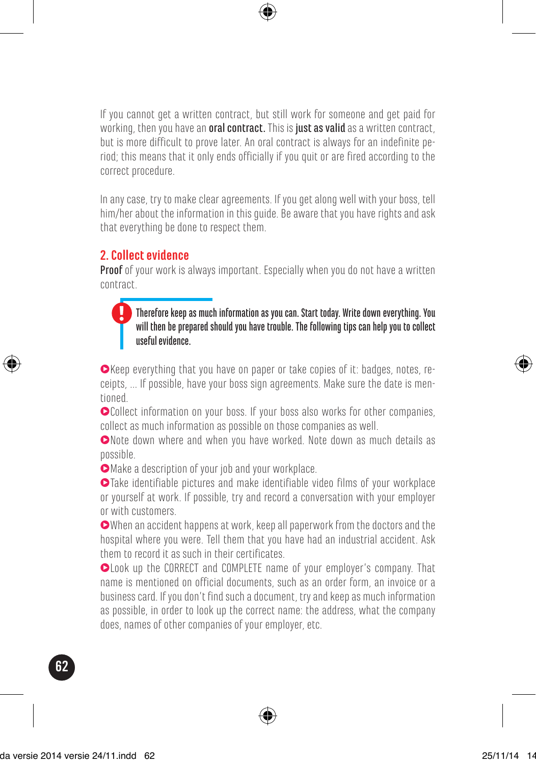If you cannot get a written contract, but still work for someone and get paid for working, then you have an **oral contract.** This is just as valid as a written contract, but is more difficult to prove later. An oral contract is always for an indefinite period; this means that it only ends officially if you quit or are fired according to the correct procedure.

In any case, try to make clear agreements. If you get along well with your boss, tell him/her about the information in this guide. Be aware that you have rights and ask that everything be done to respect them.

### **2. Collect evidence**

**Proof** of your work is always important. Especially when you do not have a written contract.

#### Therefore keep as much information as you can. Start today. Write down everything. You will then be prepared should you have trouble. The following tips can help you to collect useful evidence.

3Keep everything that you have on paper or take copies of it: badges, notes, receipts, ... If possible, have your boss sign agreements. Make sure the date is mentioned.

 $\bullet$ Collect information on your boss. If your boss also works for other companies, collect as much information as possible on those companies as well.

3Note down where and when you have worked. Note down as much details as possible.

 $\bullet$  Make a description of your job and your workplace.

3Take identifiable pictures and make identifiable video films of your workplace or yourself at work. If possible, try and record a conversation with your employer or with customers.

3When an accident happens at work, keep all paperwork from the doctors and the hospital where you were. Tell them that you have had an industrial accident. Ask them to record it as such in their certificates.

 $\bullet$  Look up the CORRECT and COMPLETE name of your employer's company. That name is mentioned on official documents, such as an order form, an invoice or a business card. If you don't find such a document, try and keep as much information as possible, in order to look up the correct name: the address, what the company does, names of other companies of your employer, etc.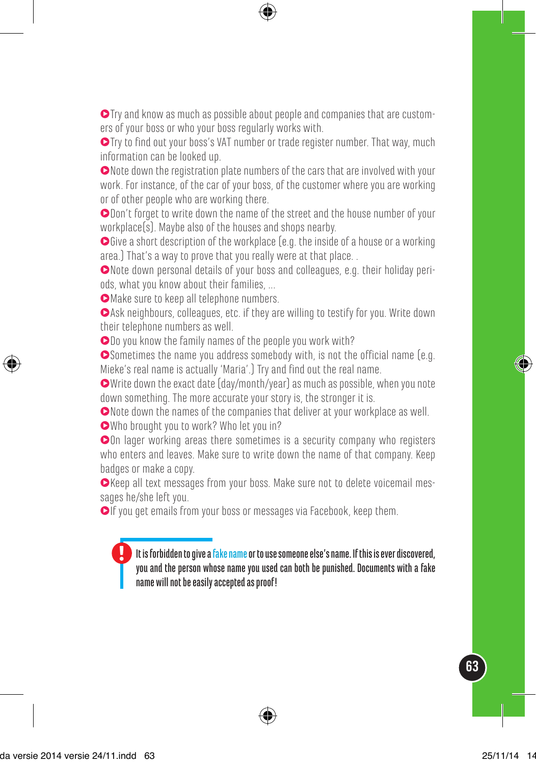$\bullet$  Try and know as much as possible about people and companies that are customers of your boss or who your boss regularly works with.

 $\bullet$  Try to find out your boss's VAT number or trade register number. That way, much information can be looked up.

 $\bullet$  Note down the registration plate numbers of the cars that are involved with your work. For instance, of the car of your boss, of the customer where you are working or of other people who are working there.

 $\bullet$ Don't forget to write down the name of the street and the house number of your workplace(s). Maybe also of the houses and shops nearby.

Give a short description of the workplace (e.g. the inside of a house or a working area.) That's a way to prove that you really were at that place. .

3Note down personal details of your boss and colleagues, e.g. their holiday periods, what you know about their families, ...

**OMake sure to keep all telephone numbers.** 

3Ask neighbours, colleagues, etc. if they are willing to testify for you. Write down their telephone numbers as well.

 $\bigcirc$  Do you know the family names of the people you work with?

 $\bullet$  Sometimes the name you address somebody with, is not the official name (e.g. Mieke's real name is actually 'Maria'.) Try and find out the real name.

3Write down the exact date (day/month/year) as much as possible, when you note down something. The more accurate your story is, the stronger it is.

 $\bullet$  Note down the names of the companies that deliver at your workplace as well.

3Who brought you to work? Who let you in?

3On lager working areas there sometimes is a security company who registers who enters and leaves. Make sure to write down the name of that company. Keep badges or make a copy.

3Keep all text messages from your boss. Make sure not to delete voicemail messages he/she left you.

 $\bigcirc$ If you get emails from your boss or messages via Facebook, keep them.

It is forbidden to give a fake name or to use someone else's name. If this is ever discovered, you and the person whose name you used can both be punished. Documents with a fake name will not be easily accepted as proof!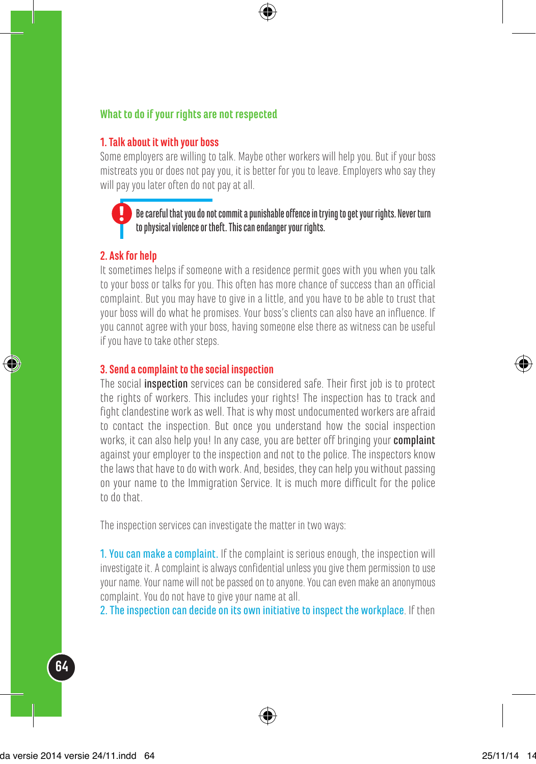#### **What to do if your rights are not respected**

#### **1. Talk about it with your boss**

Some employers are willing to talk. Maybe other workers will help you. But if your boss mistreats you or does not pay you, it is better for you to leave. Employers who say they will pay you later often do not pay at all.

#### $\blacksquare$  Be careful that you do not commit a punishable offence in trying to get your rights. Never turn to physical violence or theft. This can endanger your rights.

#### **2. Ask for help**

It sometimes helps if someone with a residence permit goes with you when you talk to your boss or talks for you. This often has more chance of success than an official complaint. But you may have to give in a little, and you have to be able to trust that your boss will do what he promises. Your boss's clients can also have an influence. If you cannot agree with your boss, having someone else there as witness can be useful if you have to take other steps.

#### **3. Send a complaint to the social inspection**

The social inspection services can be considered safe. Their first job is to protect the rights of workers. This includes your rights! The inspection has to track and fight clandestine work as well. That is why most undocumented workers are afraid to contact the inspection. But once you understand how the social inspection works, it can also help you! In any case, you are better off bringing your complaint against your employer to the inspection and not to the police. The inspectors know the laws that have to do with work. And, besides, they can help you without passing on your name to the Immigration Service. It is much more difficult for the police to do that.

The inspection services can investigate the matter in two ways:

1. You can make a complaint. If the complaint is serious enough, the inspection will investigate it. A complaint is always confidential unless you give them permission to use your name. Your name will not be passed on to anyone. You can even make an anonymous complaint. You do not have to give your name at all.

2. The inspection can decide on its own initiative to inspect the workplace. If then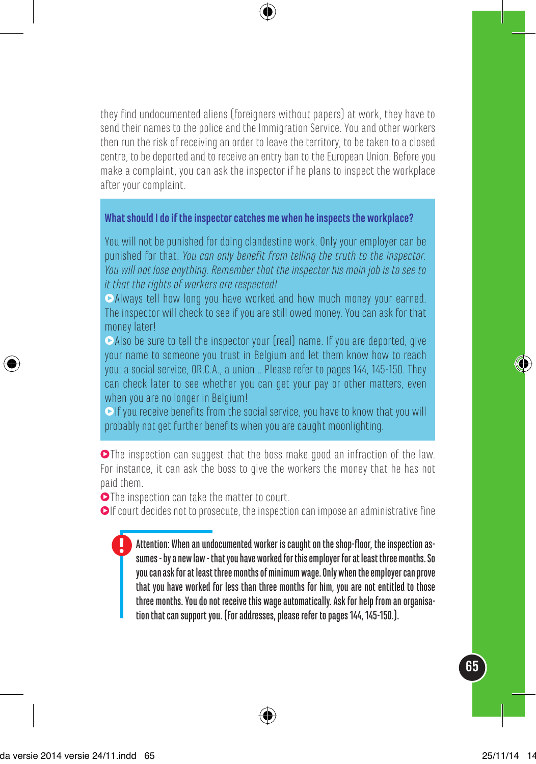they find undocumented aliens (foreigners without papers) at work, they have to send their names to the police and the Immigration Service. You and other workers then run the risk of receiving an order to leave the territory, to be taken to a closed centre, to be deported and to receive an entry ban to the European Union. Before you make a complaint, you can ask the inspector if he plans to inspect the workplace after your complaint.

#### **What should I do if the inspector catches me when he inspects the workplace?**

You will not be punished for doing clandestine work. Only your employer can be punished for that. *You can only benefit from telling the truth to the inspector. You will not lose anything. Remember that the inspector his main job is to see to it that the rights of workers are respected!*

Always tell how long you have worked and how much money your earned. The inspector will check to see if you are still owed money. You can ask for that money later!

Also be sure to tell the inspector your (real) name. If you are deported, give your name to someone you trust in Belgium and let them know how to reach you: a social service, OR.C.A., a union... Please refer to pages 144, 145-150. They can check later to see whether you can get your pay or other matters, even when you are no longer in Belgium!

 $\bullet$  If you receive benefits from the social service, you have to know that you will probably not get further benefits when you are caught moonlighting.

 $\bullet$  The inspection can suggest that the boss make good an infraction of the law. For instance, it can ask the boss to give the workers the money that he has not paid them.

**O**The inspection can take the matter to court.

 $\bullet$ If court decides not to prosecute, the inspection can impose an administrative fine

Attention: When an undocumented worker is caught on the shop-floor, the inspection assumes - by a new law - that you have worked for this employer for at least three months. So you can ask for at least three months of minimum wage. Only when the employer can prove that you have worked for less than three months for him, you are not entitled to those three months. You do not receive this wage automatically. Ask for help from an organisation that can support you. (For addresses, please refer to pages 144, 145-150.).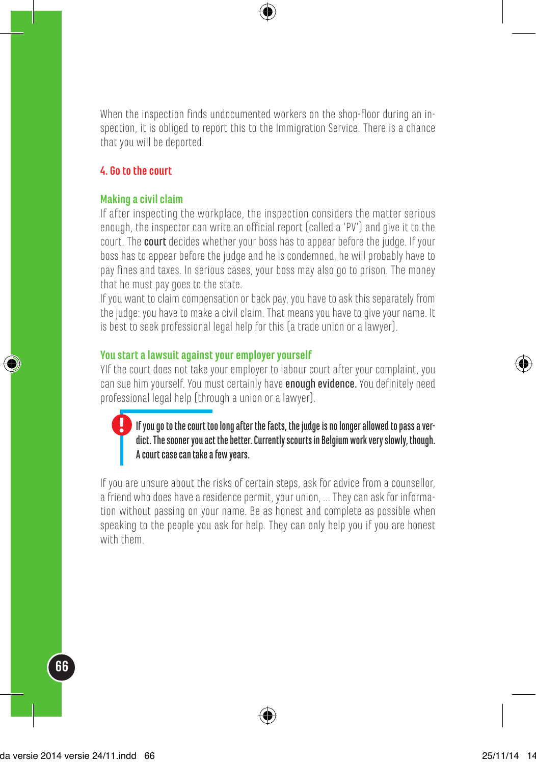When the inspection finds undocumented workers on the shop-floor during an inspection, it is obliged to report this to the Immigration Service. There is a chance that you will be deported.

#### **4. Go to the court**

#### **Making a civil claim**

If after inspecting the workplace, the inspection considers the matter serious enough, the inspector can write an official report (called a 'PV') and give it to the court. The court decides whether your boss has to appear before the judge. If your boss has to appear before the judge and he is condemned, he will probably have to pay fines and taxes. In serious cases, your boss may also go to prison. The money that he must pay goes to the state.

If you want to claim compensation or back pay, you have to ask this separately from the judge: you have to make a civil claim. That means you have to give your name. It is best to seek professional legal help for this (a trade union or a lawyer).

#### **You start a lawsuit against your employer yourself**

YIf the court does not take your employer to labour court after your complaint, you can sue him yourself. You must certainly have **enough evidence.** You definitely need professional legal help (through a union or a lawyer).

#### If you go to the court too long after the facts, the judge is no longer allowed to pass a verdict. The sooner you act the better. Currently scourts in Belgium work very slowly, though. A court case can take a few years.

If you are unsure about the risks of certain steps, ask for advice from a counsellor, a friend who does have a residence permit, your union, ... They can ask for information without passing on your name. Be as honest and complete as possible when speaking to the people you ask for help. They can only help you if you are honest with them.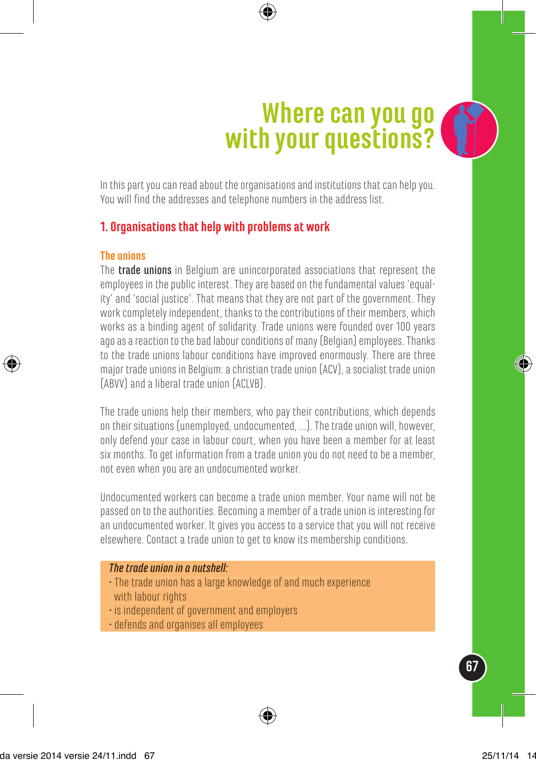# **Where can you go with your questions?**

In this part you can read about the organisations and institutions that can help you. You will find the addresses and telephone numbers in the address list.

### **1. Organisations that help with problems at work**

#### **The unions**

The **trade unions** in Belgium are unincorporated associations that represent the employees in the public interest. They are based on the fundamental values 'equality' and 'social justice'. That means that they are not part of the government. They work completely independent, thanks to the contributions of their members, which works as a binding agent of solidarity. Trade unions were founded over 100 years ago as a reaction to the bad labour conditions of many (Belgian) employees. Thanks to the trade unions labour conditions have improved enormously. There are three major trade unions in Belgium: a christian trade union (ACV), a socialist trade union (ABVV) and a liberal trade union (ACLVB).

The trade unions help their members, who pay their contributions, which depends on their situations (unemployed, undocumented, ...). The trade union will, however, only defend your case in labour court, when you have been a member for at least six months. To get information from a trade union you do not need to be a member, not even when you are an undocumented worker.

Undocumented workers can become a trade union member. Your name will not be passed on to the authorities. Becoming a member of a trade union is interesting for an undocumented worker. It gives you access to a service that you will not receive elsewhere. Contact a trade union to get to know its membership conditions.

#### *The trade union in a nutshell:*

- The trade union has a large knowledge of and much experience with labour rights
- is independent of government and employers
- defends and organises all employees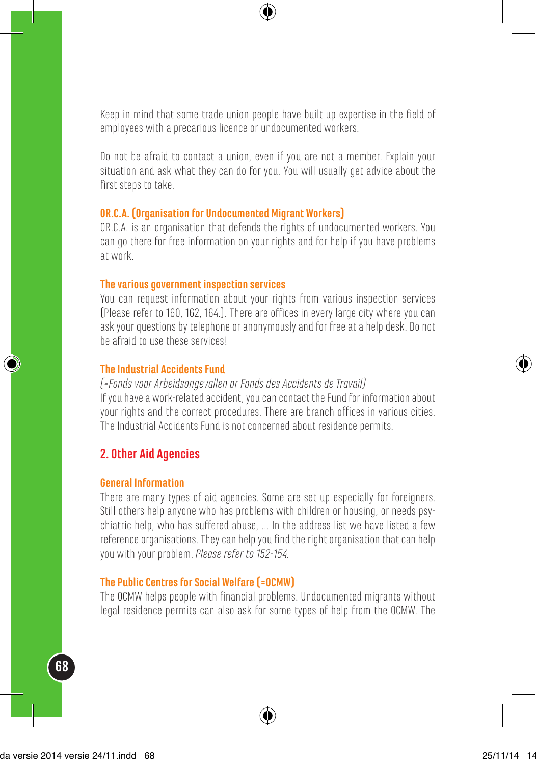Keep in mind that some trade union people have built up expertise in the field of employees with a precarious licence or undocumented workers.

Do not be afraid to contact a union, even if you are not a member. Explain your situation and ask what they can do for you. You will usually get advice about the first steps to take.

#### **OR.C.A. (Organisation for Undocumented Migrant Workers)**

OR.C.A. is an organisation that defends the rights of undocumented workers. You can go there for free information on your rights and for help if you have problems at work.

#### **The various government inspection services**

You can request information about your rights from various inspection services (Please refer to 160, 162, 164.). There are offices in every large city where you can ask your questions by telephone or anonymously and for free at a help desk. Do not be afraid to use these services!

#### **The Industrial Accidents Fund**

*(=Fonds voor Arbeidsongevallen or Fonds des Accidents de Travail)* If you have a work-related accident, you can contact the Fund for information about your rights and the correct procedures. There are branch offices in various cities. The Industrial Accidents Fund is not concerned about residence permits.

#### **2. Other Aid Agencies**

#### **General Information**

There are many types of aid agencies. Some are set up especially for foreigners. Still others help anyone who has problems with children or housing, or needs psychiatric help, who has suffered abuse, ... In the address list we have listed a few reference organisations. They can help you find the right organisation that can help you with your problem. *Please refer to 152-154.*

#### **The Public Centres for Social Welfare (=OCMW)**

The OCMW helps people with financial problems. Undocumented migrants without legal residence permits can also ask for some types of help from the OCMW. The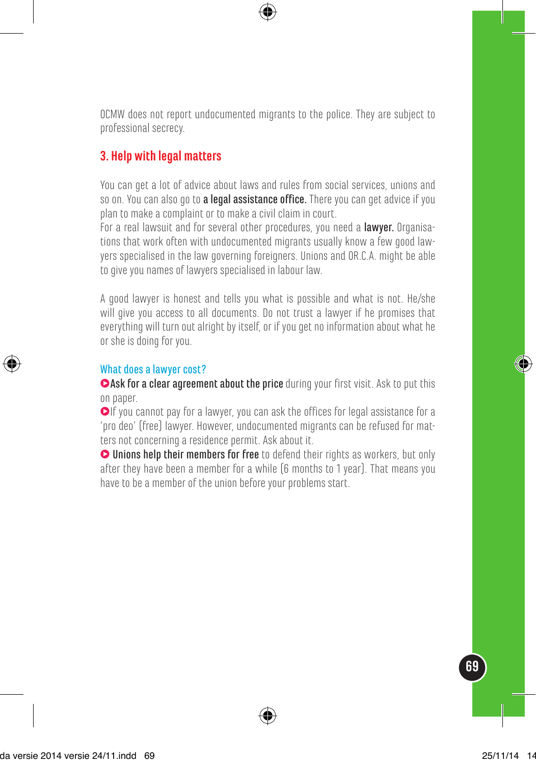OCMW does not report undocumented migrants to the police. They are subject to professional secrecy.

### **3. Help with legal matters**

You can get a lot of advice about laws and rules from social services, unions and so on. You can also go to a legal assistance office. There you can get advice if you plan to make a complaint or to make a civil claim in court.

For a real lawsuit and for several other procedures, you need a lawyer. Organisations that work often with undocumented migrants usually know a few good lawyers specialised in the law governing foreigners. Unions and OR.C.A. might be able to give you names of lawyers specialised in labour law.

A good lawyer is honest and tells you what is possible and what is not. He/she will give you access to all documents. Do not trust a lawyer if he promises that everything will turn out alright by itself, or if you get no information about what he or she is doing for you.

#### What does a lawyer cost?

**CAsk for a clear agreement about the price** during your first visit. Ask to put this on paper.

 $\bigcirc$ If you cannot pay for a lawyer, you can ask the offices for legal assistance for a 'pro deo' (free) lawyer. However, undocumented migrants can be refused for matters not concerning a residence permit. Ask about it.

**O** Unions help their members for free to defend their rights as workers, but only after they have been a member for a while (6 months to 1 year). That means you have to be a member of the union before your problems start.